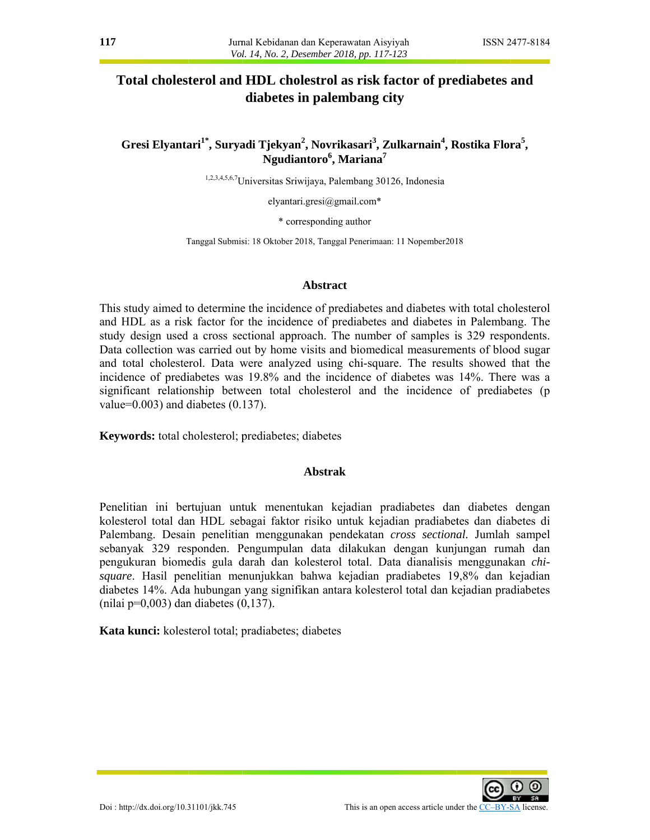# **Total cholesterol and HDL cholestrol as risk factor of prediabetes and diabetes in palemb bang city**

# **diabetes in palembang city<br>
<b>Gresi Elyantari<sup>1\*</sup>, Suryadi Tjekyan<sup>2</sup>, Novrikasari<sup>3</sup>, Zulkarnain<sup>4</sup>, Rostika Flora<sup>5</sup>, Ngudia antoro<sup>6</sup> , M ariana7**

<sup>1,2,3,4,5,6,7</sup>Universitas Sriwijaya, Palembang 30126, Indonesia

elyantari.gresi@gmail.com\*

\* cor rresponding a author

Tanggal Submisi: 18 Oktober 2018, Tanggal Penerimaan: 11 Nopember 2018

### **Abstract**

This study aimed to determine the incidence of prediabetes and diabetes with total cholesterol and HDL as a risk factor for the incidence of prediabetes and diabetes in Palembang. The study design used a cross sectional approach. The number of samples is 329 respondents. Data collection was carried out by home visits and biomedical measurements of blood sugar and total cholesterol. Data were analyzed using chi-square. The results showed that the incidence of prediabetes was 19.8% and the incidence of diabetes was 14%. There was a significant relationship between total cholesterol and the incidence of prediabetes (p value=0 0.003) and d diabetes (0. 137).

Keywords: total cholesterol; prediabetes; diabetes

### **Abstrak**

Penelitian ini bertujuan untuk menentukan kejadian pradiabetes dan diabetes dengan kolesterol total dan HDL sebagai faktor risiko untuk kejadian pradiabetes dan diabetes di Palembang. Desain penelitian menggunakan pendekatan *cross sectional*. Jumlah sampel sebanyak 329 responden. Pengumpulan data dilakukan dengan kunjungan rumah dan pengukuran biomedis gula darah dan kolesterol total. Data dianalisis menggunakan *chi*square. Hasil penelitian menunjukkan bahwa kejadian pradiabetes 19,8% dan kejadian diabetes 14%. Ada hubungan yang signifikan antara kolesterol total dan kejadian pradiabetes  $(nilai p=0,003)$  dan diabetes  $(0,137)$ .

Kata kunci: kolesterol total; pradiabetes; diabetes

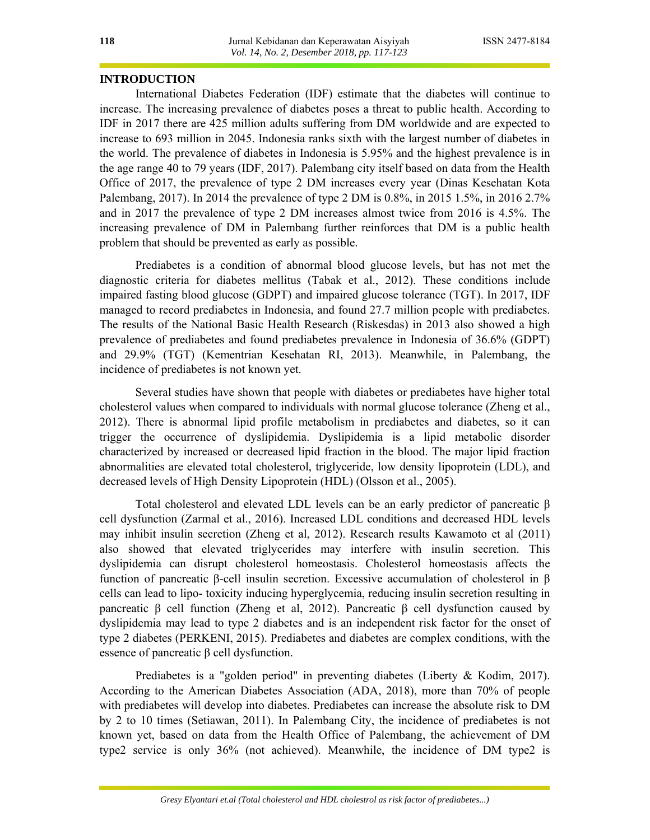#### **INTRODUCTION**

International Diabetes Federation (IDF) estimate that the diabetes will continue to increase. The increasing prevalence of diabetes poses a threat to public health. According to IDF in 2017 there are 425 million adults suffering from DM worldwide and are expected to increase to 693 million in 2045. Indonesia ranks sixth with the largest number of diabetes in the world. The prevalence of diabetes in Indonesia is 5.95% and the highest prevalence is in the age range 40 to 79 years (IDF, 2017). Palembang city itself based on data from the Health Office of 2017, the prevalence of type 2 DM increases every year (Dinas Kesehatan Kota Palembang, 2017). In 2014 the prevalence of type 2 DM is 0.8%, in 2015 1.5%, in 2016 2.7% and in 2017 the prevalence of type 2 DM increases almost twice from 2016 is 4.5%. The increasing prevalence of DM in Palembang further reinforces that DM is a public health problem that should be prevented as early as possible.

Prediabetes is a condition of abnormal blood glucose levels, but has not met the diagnostic criteria for diabetes mellitus (Tabak et al., 2012). These conditions include impaired fasting blood glucose (GDPT) and impaired glucose tolerance (TGT). In 2017, IDF managed to record prediabetes in Indonesia, and found 27.7 million people with prediabetes. The results of the National Basic Health Research (Riskesdas) in 2013 also showed a high prevalence of prediabetes and found prediabetes prevalence in Indonesia of 36.6% (GDPT) and 29.9% (TGT) (Kementrian Kesehatan RI, 2013). Meanwhile, in Palembang, the incidence of prediabetes is not known yet.

Several studies have shown that people with diabetes or prediabetes have higher total cholesterol values when compared to individuals with normal glucose tolerance (Zheng et al., 2012). There is abnormal lipid profile metabolism in prediabetes and diabetes, so it can trigger the occurrence of dyslipidemia. Dyslipidemia is a lipid metabolic disorder characterized by increased or decreased lipid fraction in the blood. The major lipid fraction abnormalities are elevated total cholesterol, triglyceride, low density lipoprotein (LDL), and decreased levels of High Density Lipoprotein (HDL) (Olsson et al., 2005).

Total cholesterol and elevated LDL levels can be an early predictor of pancreatic β cell dysfunction (Zarmal et al., 2016). Increased LDL conditions and decreased HDL levels may inhibit insulin secretion (Zheng et al, 2012). Research results Kawamoto et al (2011) also showed that elevated triglycerides may interfere with insulin secretion. This dyslipidemia can disrupt cholesterol homeostasis. Cholesterol homeostasis affects the function of pancreatic β-cell insulin secretion. Excessive accumulation of cholesterol in β cells can lead to lipo- toxicity inducing hyperglycemia, reducing insulin secretion resulting in pancreatic β cell function (Zheng et al, 2012). Pancreatic β cell dysfunction caused by dyslipidemia may lead to type 2 diabetes and is an independent risk factor for the onset of type 2 diabetes (PERKENI, 2015). Prediabetes and diabetes are complex conditions, with the essence of pancreatic  $β$  cell dysfunction.

Prediabetes is a "golden period" in preventing diabetes (Liberty & Kodim, 2017). According to the American Diabetes Association (ADA, 2018), more than 70% of people with prediabetes will develop into diabetes. Prediabetes can increase the absolute risk to DM by 2 to 10 times (Setiawan, 2011). In Palembang City, the incidence of prediabetes is not known yet, based on data from the Health Office of Palembang, the achievement of DM type2 service is only 36% (not achieved). Meanwhile, the incidence of DM type2 is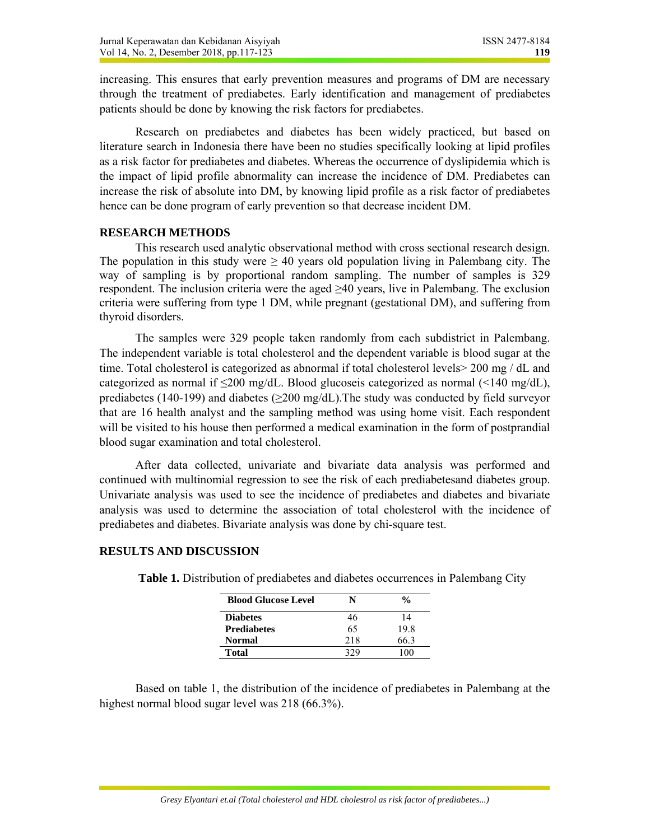increasing. This ensures that early prevention measures and programs of DM are necessary through the treatment of prediabetes. Early identification and management of prediabetes patients should be done by knowing the risk factors for prediabetes.

Research on prediabetes and diabetes has been widely practiced, but based on literature search in Indonesia there have been no studies specifically looking at lipid profiles as a risk factor for prediabetes and diabetes. Whereas the occurrence of dyslipidemia which is the impact of lipid profile abnormality can increase the incidence of DM. Prediabetes can increase the risk of absolute into DM, by knowing lipid profile as a risk factor of prediabetes hence can be done program of early prevention so that decrease incident DM.

# **RESEARCH METHODS**

 This research used analytic observational method with cross sectional research design. The population in this study were  $\geq 40$  years old population living in Palembang city. The way of sampling is by proportional random sampling. The number of samples is 329 respondent. The inclusion criteria were the aged  $\geq 40$  years, live in Palembang. The exclusion criteria were suffering from type 1 DM, while pregnant (gestational DM), and suffering from thyroid disorders.

The samples were 329 people taken randomly from each subdistrict in Palembang. The independent variable is total cholesterol and the dependent variable is blood sugar at the time. Total cholesterol is categorized as abnormal if total cholesterol levels> 200 mg / dL and categorized as normal if  $\leq 200$  mg/dL. Blood glucoseis categorized as normal ( $\leq 140$  mg/dL), prediabetes (140-199) and diabetes ( $\geq$ 200 mg/dL). The study was conducted by field surveyor that are 16 health analyst and the sampling method was using home visit. Each respondent will be visited to his house then performed a medical examination in the form of postprandial blood sugar examination and total cholesterol.

After data collected, univariate and bivariate data analysis was performed and continued with multinomial regression to see the risk of each prediabetesand diabetes group. Univariate analysis was used to see the incidence of prediabetes and diabetes and bivariate analysis was used to determine the association of total cholesterol with the incidence of prediabetes and diabetes. Bivariate analysis was done by chi-square test.

# **RESULTS AND DISCUSSION**

| <b>Blood Glucose Level</b> | N   | $\frac{0}{0}$ |
|----------------------------|-----|---------------|
| <b>Diabetes</b>            | 46  | 14            |
| <b>Prediabetes</b>         | 65  | 198           |
| <b>Normal</b>              | 218 | 66 3          |
| Total                      |     |               |

**Table 1.** Distribution of prediabetes and diabetes occurrences in Palembang City

Based on table 1, the distribution of the incidence of prediabetes in Palembang at the highest normal blood sugar level was 218 (66.3%).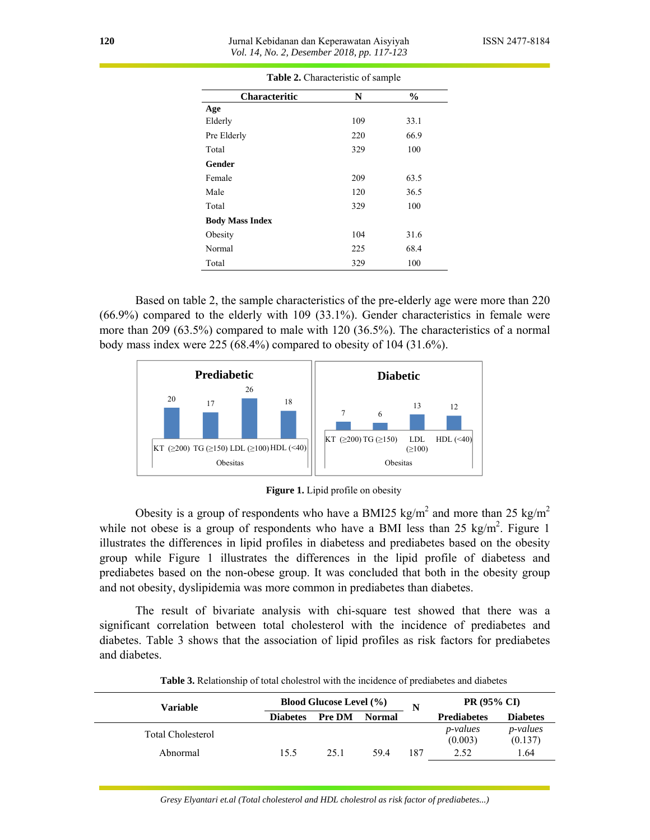| <b>Table 2.</b> Characteristic of sample |     |               |  |  |
|------------------------------------------|-----|---------------|--|--|
| <b>Characteritic</b>                     | N   | $\frac{6}{9}$ |  |  |
| Age                                      |     |               |  |  |
| Elderly                                  | 109 | 33.1          |  |  |
| Pre Elderly                              | 220 | 66.9          |  |  |
| Total                                    | 329 | 100           |  |  |
| Gender                                   |     |               |  |  |
| Female                                   | 209 | 63.5          |  |  |
| Male                                     | 120 | 36.5          |  |  |
| Total                                    | 329 | 100           |  |  |
| <b>Body Mass Index</b>                   |     |               |  |  |
| Obesity                                  | 104 | 31.6          |  |  |
| Normal                                   | 225 | 68.4          |  |  |
| Total                                    | 329 | 100           |  |  |

**Table 2.** Characteristic of sample

Based on table 2, the sample characteristics of the pre-elderly age were more than 220 (66.9%) compared to the elderly with 109 (33.1%). Gender characteristics in female were more than 209 (63.5%) compared to male with 120 (36.5%). The characteristics of a normal body mass index were 225 (68.4%) compared to obesity of 104 (31.6%).



**Figure 1.** Lipid profile on obesity

Obesity is a group of respondents who have a BMI25 kg/m<sup>2</sup> and more than 25 kg/m<sup>2</sup> while not obese is a group of respondents who have a BMI less than 25 kg/m<sup>2</sup>. Figure 1 illustrates the differences in lipid profiles in diabetess and prediabetes based on the obesity group while Figure 1 illustrates the differences in the lipid profile of diabetess and prediabetes based on the non-obese group. It was concluded that both in the obesity group and not obesity, dyslipidemia was more common in prediabetes than diabetes.

The result of bivariate analysis with chi-square test showed that there was a significant correlation between total cholesterol with the incidence of prediabetes and diabetes. Table 3 shows that the association of lipid profiles as risk factors for prediabetes and diabetes.

| Variable                 |                 | <b>Blood Glucose Level (%)</b> |               |     | <b>PR (95% CI)</b>          |                             |
|--------------------------|-----------------|--------------------------------|---------------|-----|-----------------------------|-----------------------------|
|                          | <b>Diabetes</b> | <b>Pre DM</b>                  | <b>Normal</b> | N   | <b>Prediabetes</b>          | <b>Diabetes</b>             |
| <b>Total Cholesterol</b> |                 |                                |               |     | <i>p</i> -values<br>(0.003) | <i>p</i> -values<br>(0.137) |
| Abnormal                 | 15.5            | 25.1                           | 594           | 187 | 2.52                        | 1.64                        |

**Table 3.** Relationship of total cholestrol with the incidence of prediabetes and diabetes

*Gresy Elyantari et.al (Total cholesterol and HDL cholestrol as risk factor of prediabetes...)*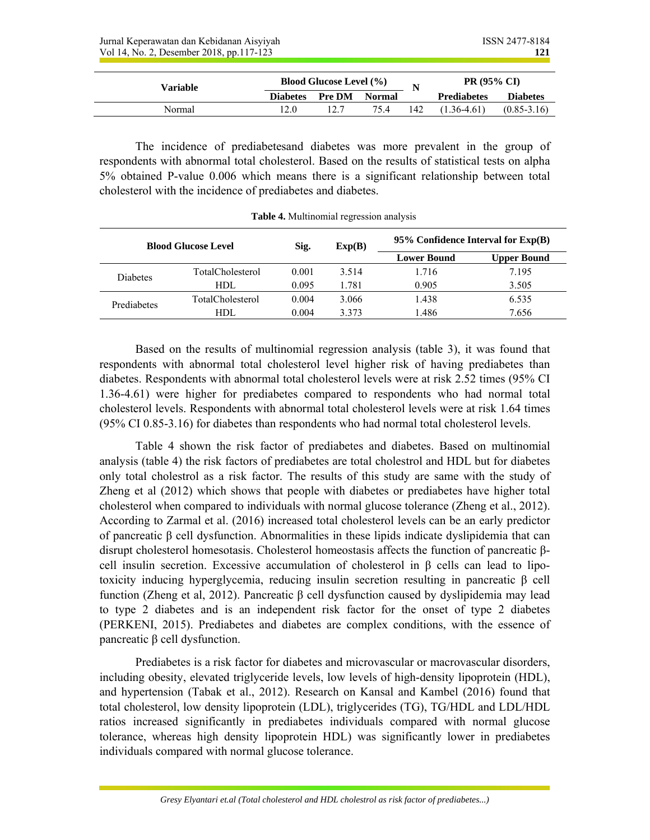| Variable |                 | <b>Blood Glucose Level (%)</b> |        |     | <b>PR (95% CI)</b> |                 |
|----------|-----------------|--------------------------------|--------|-----|--------------------|-----------------|
|          | <b>Diabetes</b> | <b>Pre DM</b>                  | Normal |     | <b>Prediabetes</b> | <b>Diabetes</b> |
| Normal   | 12.0            |                                | 75.4   | 142 | $(1.36 - 4.61)$    | $(0.85 - 3.16)$ |

The incidence of prediabetesand diabetes was more prevalent in the group of respondents with abnormal total cholesterol. Based on the results of statistical tests on alpha 5% obtained P-value 0.006 which means there is a significant relationship between total cholesterol with the incidence of prediabetes and diabetes.

| <b>Blood Glucose Level</b> |                         | Sig.<br>Exp(B) |       | 95% Confidence Interval for $Exp(B)$ |                    |  |  |
|----------------------------|-------------------------|----------------|-------|--------------------------------------|--------------------|--|--|
|                            |                         |                |       | <b>Lower Bound</b>                   | <b>Upper Bound</b> |  |  |
| Diabetes                   | <b>TotalCholesterol</b> | 0.001          | 3.514 | 1.716                                | 7.195              |  |  |
|                            | HDL.                    | 0.095          | 1.781 | 0.905                                | 3.505              |  |  |
| Prediabetes                | <b>TotalCholesterol</b> | 0.004          | 3.066 | 1.438                                | 6.535              |  |  |
|                            | HDL                     | 0.004          | 3.373 | 1.486                                | 7.656              |  |  |

**Table 4.** Multinomial regression analysis

Based on the results of multinomial regression analysis (table 3), it was found that respondents with abnormal total cholesterol level higher risk of having prediabetes than diabetes. Respondents with abnormal total cholesterol levels were at risk 2.52 times (95% CI 1.36-4.61) were higher for prediabetes compared to respondents who had normal total cholesterol levels. Respondents with abnormal total cholesterol levels were at risk 1.64 times (95% CI 0.85-3.16) for diabetes than respondents who had normal total cholesterol levels.

Table 4 shown the risk factor of prediabetes and diabetes. Based on multinomial analysis (table 4) the risk factors of prediabetes are total cholestrol and HDL but for diabetes only total cholestrol as a risk factor. The results of this study are same with the study of Zheng et al (2012) which shows that people with diabetes or prediabetes have higher total cholesterol when compared to individuals with normal glucose tolerance (Zheng et al., 2012). According to Zarmal et al. (2016) increased total cholesterol levels can be an early predictor of pancreatic β cell dysfunction. Abnormalities in these lipids indicate dyslipidemia that can disrupt cholesterol homesotasis. Cholesterol homeostasis affects the function of pancreatic βcell insulin secretion. Excessive accumulation of cholesterol in  $\beta$  cells can lead to lipotoxicity inducing hyperglycemia, reducing insulin secretion resulting in pancreatic β cell function (Zheng et al, 2012). Pancreatic β cell dysfunction caused by dyslipidemia may lead to type 2 diabetes and is an independent risk factor for the onset of type 2 diabetes (PERKENI, 2015). Prediabetes and diabetes are complex conditions, with the essence of pancreatic β cell dysfunction.

Prediabetes is a risk factor for diabetes and microvascular or macrovascular disorders, including obesity, elevated triglyceride levels, low levels of high-density lipoprotein (HDL), and hypertension (Tabak et al., 2012). Research on Kansal and Kambel (2016) found that total cholesterol, low density lipoprotein (LDL), triglycerides (TG), TG/HDL and LDL/HDL ratios increased significantly in prediabetes individuals compared with normal glucose tolerance, whereas high density lipoprotein HDL) was significantly lower in prediabetes individuals compared with normal glucose tolerance.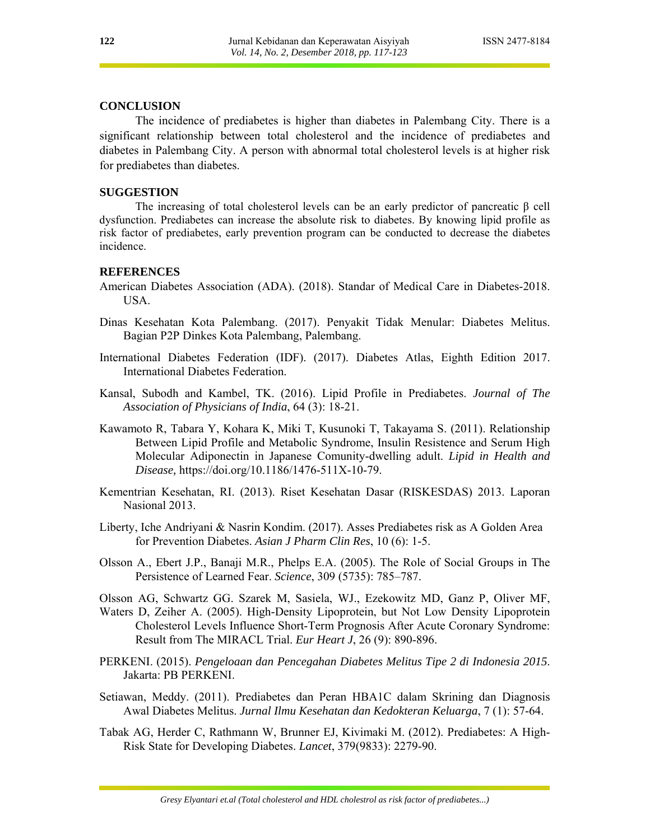## **CONCLUSION**

The incidence of prediabetes is higher than diabetes in Palembang City. There is a significant relationship between total cholesterol and the incidence of prediabetes and diabetes in Palembang City. A person with abnormal total cholesterol levels is at higher risk for prediabetes than diabetes.

# **SUGGESTION**

 The increasing of total cholesterol levels can be an early predictor of pancreatic β cell dysfunction. Prediabetes can increase the absolute risk to diabetes. By knowing lipid profile as risk factor of prediabetes, early prevention program can be conducted to decrease the diabetes incidence.

#### **REFERENCES**

- American Diabetes Association (ADA). (2018). Standar of Medical Care in Diabetes-2018. USA.
- Dinas Kesehatan Kota Palembang. (2017). Penyakit Tidak Menular: Diabetes Melitus. Bagian P2P Dinkes Kota Palembang, Palembang.
- International Diabetes Federation (IDF). (2017). Diabetes Atlas, Eighth Edition 2017. International Diabetes Federation.
- Kansal, Subodh and Kambel, TK. (2016). Lipid Profile in Prediabetes. *Journal of The Association of Physicians of India*, 64 (3): 18-21.
- Kawamoto R, Tabara Y, Kohara K, Miki T, Kusunoki T, Takayama S. (2011). Relationship Between Lipid Profile and Metabolic Syndrome, Insulin Resistence and Serum High Molecular Adiponectin in Japanese Comunity-dwelling adult. *Lipid in Health and Disease,* https://doi.org/10.1186/1476-511X-10-79.
- Kementrian Kesehatan, RI. (2013). Riset Kesehatan Dasar (RISKESDAS) 2013. Laporan Nasional 2013.
- Liberty, Iche Andriyani & Nasrin Kondim. (2017). Asses Prediabetes risk as A Golden Area for Prevention Diabetes. *Asian J Pharm Clin Res*, 10 (6): 1-5.
- Olsson A., Ebert J.P., Banaji M.R., Phelps E.A. (2005). The Role of Social Groups in The Persistence of Learned Fear. *Science*, 309 (5735): 785–787.
- Olsson AG, Schwartz GG. Szarek M, Sasiela, WJ., Ezekowitz MD, Ganz P, Oliver MF,
- Waters D, Zeiher A. (2005). High-Density Lipoprotein, but Not Low Density Lipoprotein Cholesterol Levels Influence Short-Term Prognosis After Acute Coronary Syndrome: Result from The MIRACL Trial. *Eur Heart J*, 26 (9): 890-896.
- PERKENI. (2015). *Pengeloaan dan Pencegahan Diabetes Melitus Tipe 2 di Indonesia 2015*. Jakarta: PB PERKENI.
- Setiawan, Meddy. (2011). Prediabetes dan Peran HBA1C dalam Skrining dan Diagnosis Awal Diabetes Melitus. *Jurnal Ilmu Kesehatan dan Kedokteran Keluarga*, 7 (1): 57-64.
- Tabak AG, Herder C, Rathmann W, Brunner EJ, Kivimaki M. (2012). Prediabetes: A High-Risk State for Developing Diabetes. *Lancet*, 379(9833): 2279-90.